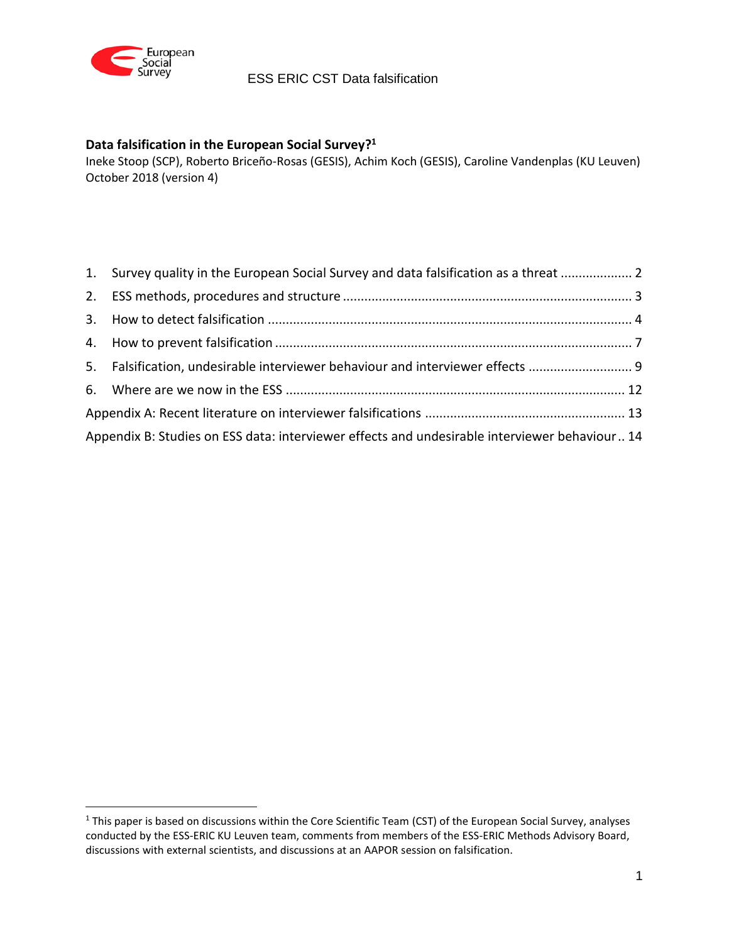

 $\overline{a}$ 

# ESS ERIC CST Data falsification

### **Data falsification in the European Social Survey? 1**

Ineke Stoop (SCP), Roberto Briceño-Rosas (GESIS), Achim Koch (GESIS), Caroline Vandenplas (KU Leuven) October 2018 (version 4)

|                                                                                               | 1. Survey quality in the European Social Survey and data falsification as a threat  2 |  |
|-----------------------------------------------------------------------------------------------|---------------------------------------------------------------------------------------|--|
|                                                                                               |                                                                                       |  |
|                                                                                               |                                                                                       |  |
|                                                                                               |                                                                                       |  |
|                                                                                               | 5. Falsification, undesirable interviewer behaviour and interviewer effects           |  |
|                                                                                               |                                                                                       |  |
|                                                                                               |                                                                                       |  |
| Appendix B: Studies on ESS data: interviewer effects and undesirable interviewer behaviour 14 |                                                                                       |  |

<sup>&</sup>lt;sup>1</sup> This paper is based on discussions within the Core Scientific Team (CST) of the European Social Survey, analyses conducted by the ESS-ERIC KU Leuven team, comments from members of the ESS-ERIC Methods Advisory Board, discussions with external scientists, and discussions at an [AAPOR session on falsification.](http://app.core-apps.com/aapor-2018/abstract/ee625b94-556f-4ba1-b3db-4e1e500effd8)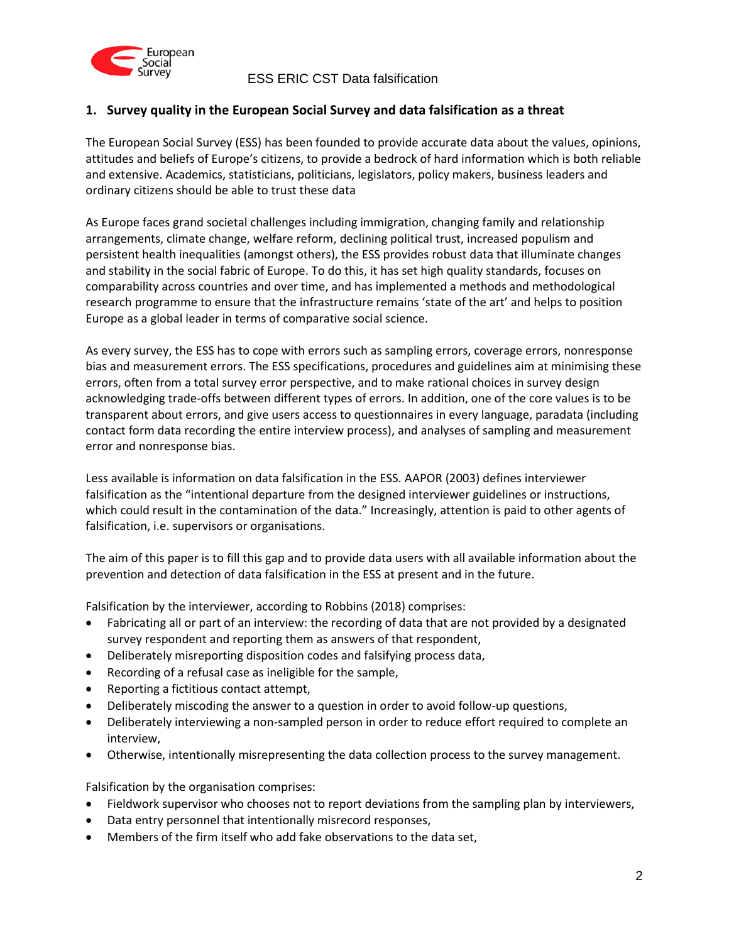

## <span id="page-1-0"></span>**1. Survey quality in the European Social Survey and data falsification as a threat**

The European Social Survey (ESS) has been founded to provide accurate data about the values, opinions, attitudes and beliefs of Europe's citizens, to provide a bedrock of hard information which is both reliable and extensive. Academics, statisticians, politicians, legislators, policy makers, business leaders and ordinary citizens should be able to trust these data

As Europe faces grand societal challenges including immigration, changing family and relationship arrangements, climate change, welfare reform, declining political trust, increased populism and persistent health inequalities (amongst others), the ESS provides robust data that illuminate changes and stability in the social fabric of Europe. To do this, it has set high quality standards, focuses on comparability across countries and over time, and has implemented a methods and methodological research programme to ensure that the infrastructure remains 'state of the art' and helps to position Europe as a global leader in terms of comparative social science.

As every survey, the ESS has to cope with errors such as sampling errors, coverage errors, nonresponse bias and measurement errors. The ESS specifications, procedures and guidelines aim at minimising these errors, often from a total survey error perspective, and to make rational choices in survey design acknowledging trade-offs between different types of errors. In addition, one of the core values is to be transparent about errors, and give users access to questionnaires in every language, paradata (including contact form data recording the entire interview process), and analyses of sampling and measurement error and nonresponse bias.

Less available is information on data falsification in the ESS. AAPOR (2003) defines interviewer falsification as the "intentional departure from the designed interviewer guidelines or instructions, which could result in the contamination of the data." Increasingly, attention is paid to other agents of falsification, i.e. supervisors or organisations.

The aim of this paper is to fill this gap and to provide data users with all available information about the prevention and detection of data falsification in the ESS at present and in the future.

Falsification by the interviewer, according to Robbins (2018) comprises:

- Fabricating all or part of an interview: the recording of data that are not provided by a designated survey respondent and reporting them as answers of that respondent,
- Deliberately misreporting disposition codes and falsifying process data,
- Recording of a refusal case as ineligible for the sample,
- Reporting a fictitious contact attempt,
- Deliberately miscoding the answer to a question in order to avoid follow-up questions,
- Deliberately interviewing a non-sampled person in order to reduce effort required to complete an interview,
- Otherwise, intentionally misrepresenting the data collection process to the survey management.

Falsification by the organisation comprises:

- Fieldwork supervisor who chooses not to report deviations from the sampling plan by interviewers,
- Data entry personnel that intentionally misrecord responses,
- Members of the firm itself who add fake observations to the data set,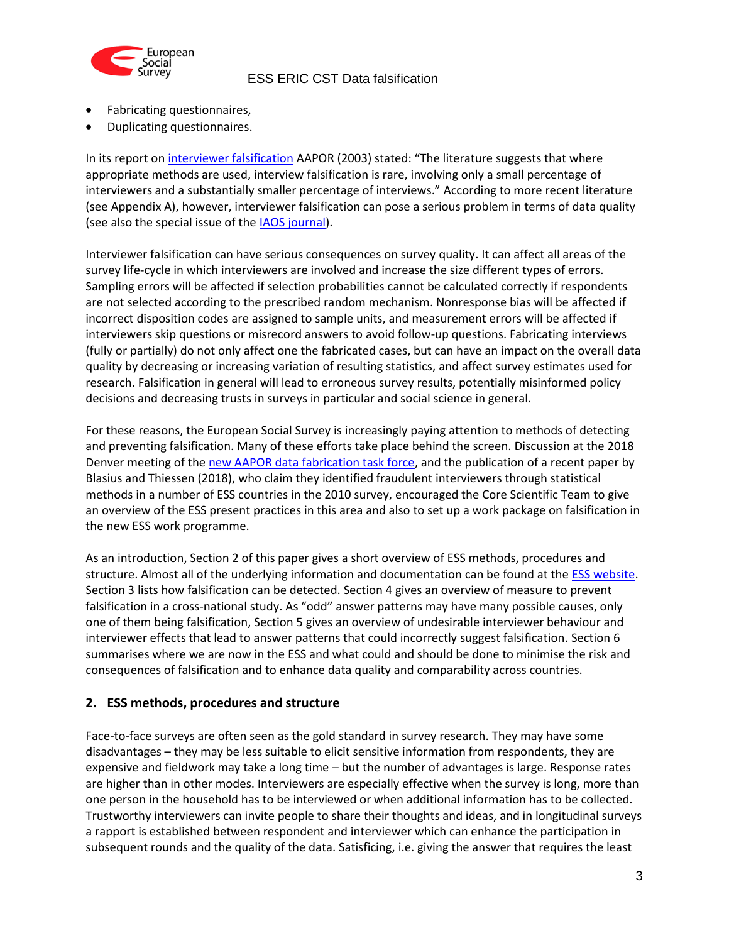

- Fabricating questionnaires,
- Duplicating questionnaires.

In its report on [interviewer falsification](https://www.aapor.org/Education-Resources/Reports/Report-to-AAPOR-Standards-Comm-on-Interviewer-Fals.aspx) AAPOR (2003) stated: "The literature suggests that where appropriate methods are used, interview falsification is rare, involving only a small percentage of interviewers and a substantially smaller percentage of interviews." According to more recent literature (see Appendix A), however, interviewer falsification can pose a serious problem in terms of data quality (see also the special issue of the **IAOS** journal).

Interviewer falsification can have serious consequences on survey quality. It can affect all areas of the survey life-cycle in which interviewers are involved and increase the size different types of errors. Sampling errors will be affected if selection probabilities cannot be calculated correctly if respondents are not selected according to the prescribed random mechanism. Nonresponse bias will be affected if incorrect disposition codes are assigned to sample units, and measurement errors will be affected if interviewers skip questions or misrecord answers to avoid follow-up questions. Fabricating interviews (fully or partially) do not only affect one the fabricated cases, but can have an impact on the overall data quality by decreasing or increasing variation of resulting statistics, and affect survey estimates used for research. Falsification in general will lead to erroneous survey results, potentially misinformed policy decisions and decreasing trusts in surveys in particular and social science in general.

For these reasons, the European Social Survey is increasingly paying attention to methods of detecting and preventing falsification. Many of these efforts take place behind the screen. Discussion at the 2018 Denver meeting of the [new AAPOR data fabrication task force,](https://www.aapor.org/AAPOR_Main/media/MainSiteFiles/AAPOR-18-CP3_webFNL_1.pdf) and the publication of a recent paper by Blasius and Thiessen (2018), who claim they identified fraudulent interviewers through statistical methods in a number of ESS countries in the 2010 survey, encouraged the Core Scientific Team to give an overview of the ESS present practices in this area and also to set up a work package on falsification in the new ESS work programme.

As an introduction, Section 2 of this paper gives a short overview of ESS methods, procedures and structure. Almost all of the underlying information and documentation can be found at the [ESS website.](http://www.europeansocialsurvey.org/) Section 3 lists how falsification can be detected. Section 4 gives an overview of measure to prevent falsification in a cross-national study. As "odd" answer patterns may have many possible causes, only one of them being falsification, Section 5 gives an overview of undesirable interviewer behaviour and interviewer effects that lead to answer patterns that could incorrectly suggest falsification. Section 6 summarises where we are now in the ESS and what could and should be done to minimise the risk and consequences of falsification and to enhance data quality and comparability across countries.

### <span id="page-2-0"></span>**2. ESS methods, procedures and structure**

Face-to-face surveys are often seen as the gold standard in survey research. They may have some disadvantages – they may be less suitable to elicit sensitive information from respondents, they are expensive and fieldwork may take a long time – but the number of advantages is large. Response rates are higher than in other modes. Interviewers are especially effective when the survey is long, more than one person in the household has to be interviewed or when additional information has to be collected. Trustworthy interviewers can invite people to share their thoughts and ideas, and in longitudinal surveys a rapport is established between respondent and interviewer which can enhance the participation in subsequent rounds and the quality of the data. Satisficing, i.e. giving the answer that requires the least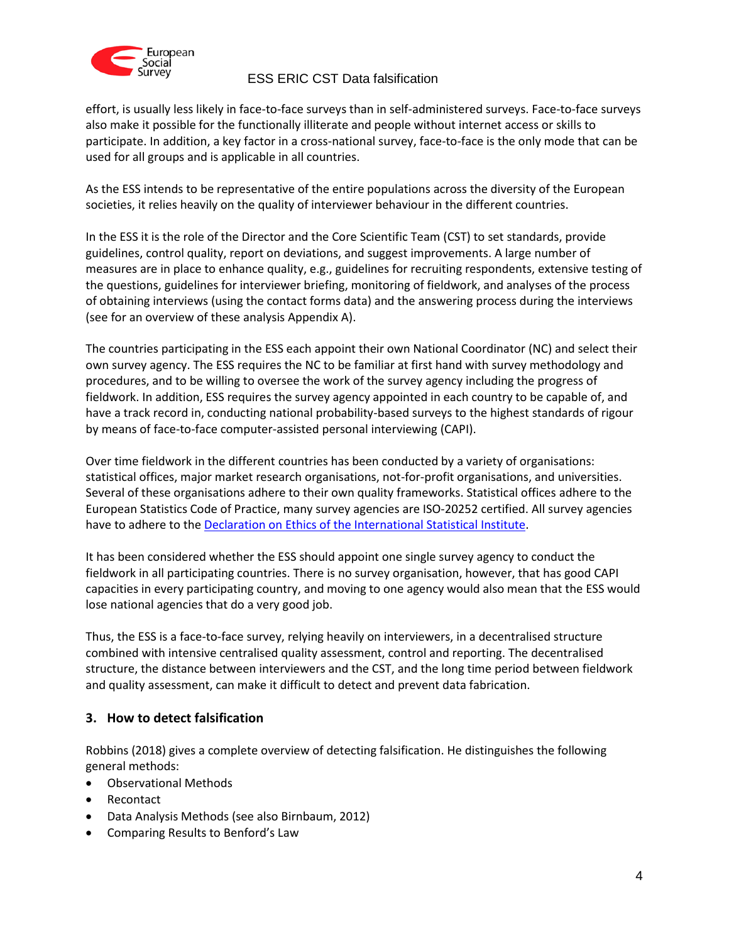

effort, is usually less likely in face-to-face surveys than in self-administered surveys. Face-to-face surveys also make it possible for the functionally illiterate and people without internet access or skills to participate. In addition, a key factor in a cross-national survey, face-to-face is the only mode that can be used for all groups and is applicable in all countries.

As the ESS intends to be representative of the entire populations across the diversity of the European societies, it relies heavily on the quality of interviewer behaviour in the different countries.

In the ESS it is the role of the Director and the Core Scientific Team (CST) to set standards, provide guidelines, control quality, report on deviations, and suggest improvements. A large number of measures are in place to enhance quality, e.g., guidelines for recruiting respondents, extensive testing of the questions, guidelines for interviewer briefing, monitoring of fieldwork, and analyses of the process of obtaining interviews (using the contact forms data) and the answering process during the interviews (see for an overview of these analysis Appendix A).

The countries participating in the ESS each appoint their own National Coordinator (NC) and select their own survey agency. The ESS requires the NC to be familiar at first hand with survey methodology and procedures, and to be willing to oversee the work of the survey agency including the progress of fieldwork. In addition, ESS requires the survey agency appointed in each country to be capable of, and have a track record in, conducting national probability-based surveys to the highest standards of rigour by means of face-to-face computer-assisted personal interviewing (CAPI).

Over time fieldwork in the different countries has been conducted by a variety of organisations: statistical offices, major market research organisations, not-for-profit organisations, and universities. Several of these organisations adhere to their own quality frameworks. Statistical offices adhere to the European Statistics Code of Practice, many survey agencies are ISO-20252 certified. All survey agencies have to adhere to th[e Declaration on Ethics of the International Statistical Institute.](https://www.isi-web.org/index.php/activities/professional-ethics/isi-declaration)

It has been considered whether the ESS should appoint one single survey agency to conduct the fieldwork in all participating countries. There is no survey organisation, however, that has good CAPI capacities in every participating country, and moving to one agency would also mean that the ESS would lose national agencies that do a very good job.

Thus, the ESS is a face-to-face survey, relying heavily on interviewers, in a decentralised structure combined with intensive centralised quality assessment, control and reporting. The decentralised structure, the distance between interviewers and the CST, and the long time period between fieldwork and quality assessment, can make it difficult to detect and prevent data fabrication.

# <span id="page-3-0"></span>**3. How to detect falsification**

Robbins (2018) gives a complete overview of detecting falsification. He distinguishes the following general methods:

- Observational Methods
- Recontact
- Data Analysis Methods (see also Birnbaum, 2012)
- Comparing Results to Benford's Law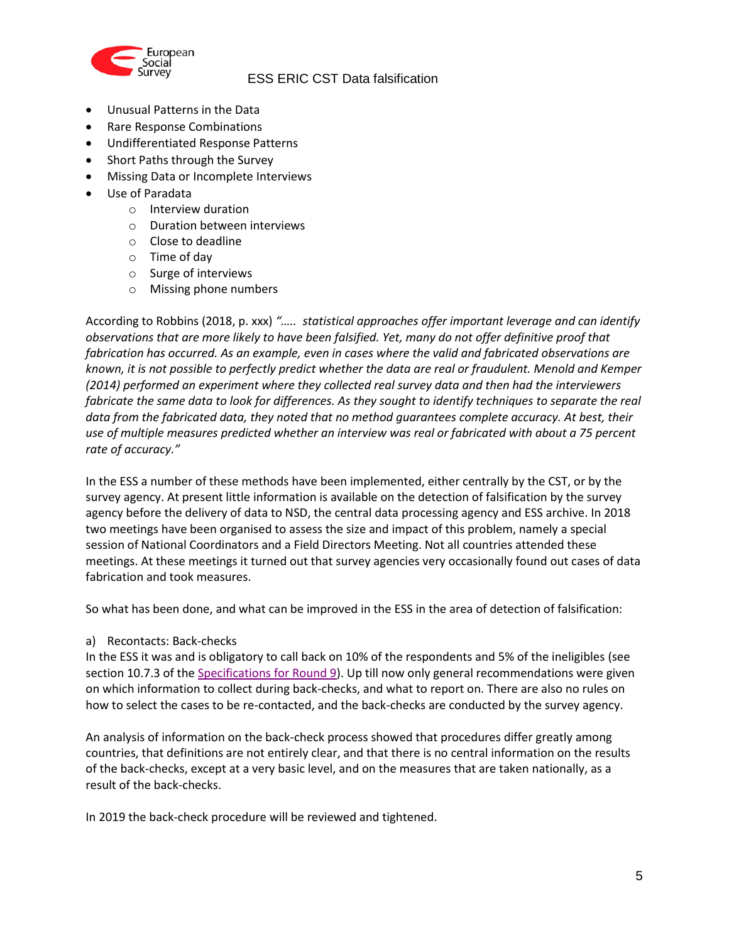

- Unusual Patterns in the Data
- Rare Response Combinations
- Undifferentiated Response Patterns
- Short Paths through the Survey
- Missing Data or Incomplete Interviews
- Use of Paradata
	- o Interview duration
	- o Duration between interviews
	- o Close to deadline
	- o Time of day
	- o Surge of interviews
	- o Missing phone numbers

According to Robbins (2018, p. xxx) *"….. statistical approaches offer important leverage and can identify observations that are more likely to have been falsified. Yet, many do not offer definitive proof that fabrication has occurred. As an example, even in cases where the valid and fabricated observations are known, it is not possible to perfectly predict whether the data are real or fraudulent. Menold and Kemper (2014) performed an experiment where they collected real survey data and then had the interviewers fabricate the same data to look for differences. As they sought to identify techniques to separate the real data from the fabricated data, they noted that no method guarantees complete accuracy. At best, their use of multiple measures predicted whether an interview was real or fabricated with about a 75 percent rate of accuracy."*

In the ESS a number of these methods have been implemented, either centrally by the CST, or by the survey agency. At present little information is available on the detection of falsification by the survey agency before the delivery of data to NSD, the central data processing agency and ESS archive. In 2018 two meetings have been organised to assess the size and impact of this problem, namely a special session of National Coordinators and a Field Directors Meeting. Not all countries attended these meetings. At these meetings it turned out that survey agencies very occasionally found out cases of data fabrication and took measures.

So what has been done, and what can be improved in the ESS in the area of detection of falsification:

a) Recontacts: Back-checks

In the ESS it was and is obligatory to call back on 10% of the respondents and 5% of the ineligibles (see section 10.7.3 of the [Specifications for Round 9\)](https://www.europeansocialsurvey.org/docs/round9/methods/ESS-ERIC-Specifications-Round-9.pdf). Up till now only general recommendations were given on which information to collect during back-checks, and what to report on. There are also no rules on how to select the cases to be re-contacted, and the back-checks are conducted by the survey agency.

An analysis of information on the back-check process showed that procedures differ greatly among countries, that definitions are not entirely clear, and that there is no central information on the results of the back-checks, except at a very basic level, and on the measures that are taken nationally, as a result of the back-checks.

In 2019 the back-check procedure will be reviewed and tightened.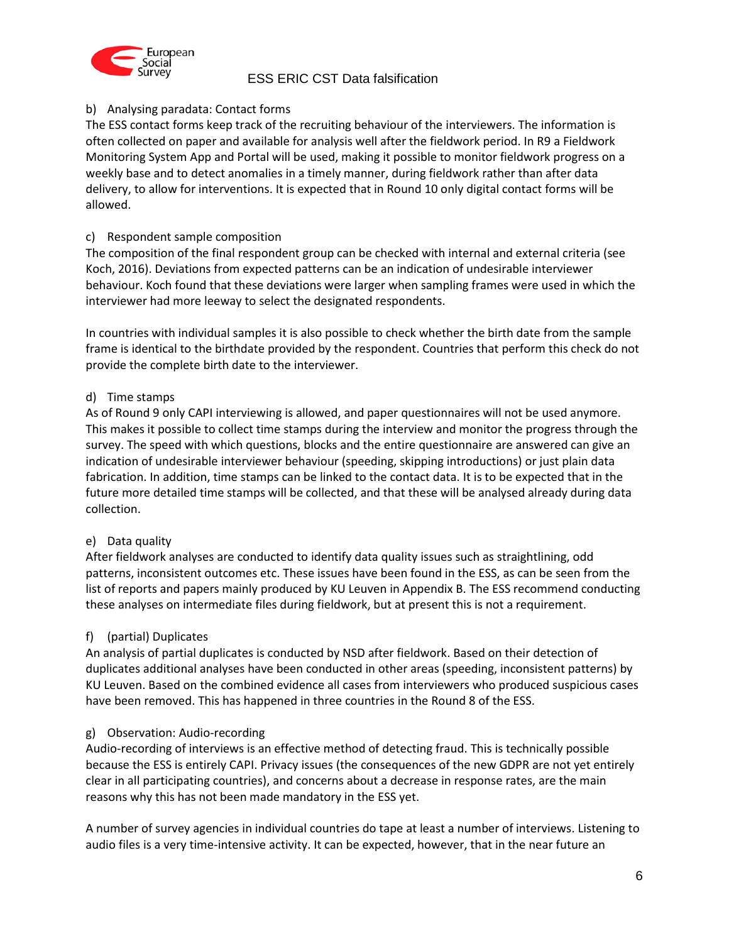

### b) Analysing paradata: Contact forms

The ESS contact forms keep track of the recruiting behaviour of the interviewers. The information is often collected on paper and available for analysis well after the fieldwork period. In R9 a Fieldwork Monitoring System App and Portal will be used, making it possible to monitor fieldwork progress on a weekly base and to detect anomalies in a timely manner, during fieldwork rather than after data delivery, to allow for interventions. It is expected that in Round 10 only digital contact forms will be allowed.

### c) Respondent sample composition

The composition of the final respondent group can be checked with internal and external criteria (see Koch, 2016). Deviations from expected patterns can be an indication of undesirable interviewer behaviour. Koch found that these deviations were larger when sampling frames were used in which the interviewer had more leeway to select the designated respondents.

In countries with individual samples it is also possible to check whether the birth date from the sample frame is identical to the birthdate provided by the respondent. Countries that perform this check do not provide the complete birth date to the interviewer.

### d) Time stamps

As of Round 9 only CAPI interviewing is allowed, and paper questionnaires will not be used anymore. This makes it possible to collect time stamps during the interview and monitor the progress through the survey. The speed with which questions, blocks and the entire questionnaire are answered can give an indication of undesirable interviewer behaviour (speeding, skipping introductions) or just plain data fabrication. In addition, time stamps can be linked to the contact data. It is to be expected that in the future more detailed time stamps will be collected, and that these will be analysed already during data collection.

#### e) Data quality

After fieldwork analyses are conducted to identify data quality issues such as straightlining, odd patterns, inconsistent outcomes etc. These issues have been found in the ESS, as can be seen from the list of reports and papers mainly produced by KU Leuven in Appendix B. The ESS recommend conducting these analyses on intermediate files during fieldwork, but at present this is not a requirement.

#### f) (partial) Duplicates

An analysis of partial duplicates is conducted by NSD after fieldwork. Based on their detection of duplicates additional analyses have been conducted in other areas (speeding, inconsistent patterns) by KU Leuven. Based on the combined evidence all cases from interviewers who produced suspicious cases have been removed. This has happened in three countries in the Round 8 of the ESS.

#### g) Observation: Audio-recording

Audio-recording of interviews is an effective method of detecting fraud. This is technically possible because the ESS is entirely CAPI. Privacy issues (the consequences of the new GDPR are not yet entirely clear in all participating countries), and concerns about a decrease in response rates, are the main reasons why this has not been made mandatory in the ESS yet.

A number of survey agencies in individual countries do tape at least a number of interviews. Listening to audio files is a very time-intensive activity. It can be expected, however, that in the near future an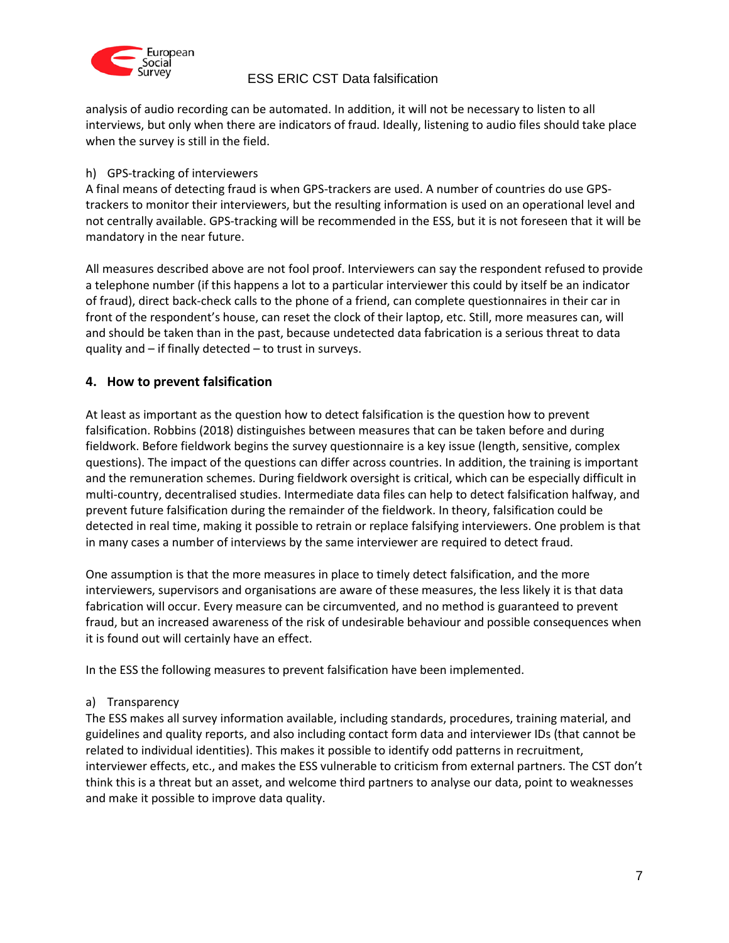

analysis of audio recording can be automated. In addition, it will not be necessary to listen to all interviews, but only when there are indicators of fraud. Ideally, listening to audio files should take place when the survey is still in the field.

### h) GPS-tracking of interviewers

A final means of detecting fraud is when GPS-trackers are used. A number of countries do use GPStrackers to monitor their interviewers, but the resulting information is used on an operational level and not centrally available. GPS-tracking will be recommended in the ESS, but it is not foreseen that it will be mandatory in the near future.

All measures described above are not fool proof. Interviewers can say the respondent refused to provide a telephone number (if this happens a lot to a particular interviewer this could by itself be an indicator of fraud), direct back-check calls to the phone of a friend, can complete questionnaires in their car in front of the respondent's house, can reset the clock of their laptop, etc. Still, more measures can, will and should be taken than in the past, because undetected data fabrication is a serious threat to data quality and  $-$  if finally detected  $-$  to trust in surveys.

## <span id="page-6-0"></span>**4. How to prevent falsification**

At least as important as the question how to detect falsification is the question how to prevent falsification. Robbins (2018) distinguishes between measures that can be taken before and during fieldwork. Before fieldwork begins the survey questionnaire is a key issue (length, sensitive, complex questions). The impact of the questions can differ across countries. In addition, the training is important and the remuneration schemes. During fieldwork oversight is critical, which can be especially difficult in multi-country, decentralised studies. Intermediate data files can help to detect falsification halfway, and prevent future falsification during the remainder of the fieldwork. In theory, falsification could be detected in real time, making it possible to retrain or replace falsifying interviewers. One problem is that in many cases a number of interviews by the same interviewer are required to detect fraud.

One assumption is that the more measures in place to timely detect falsification, and the more interviewers, supervisors and organisations are aware of these measures, the less likely it is that data fabrication will occur. Every measure can be circumvented, and no method is guaranteed to prevent fraud, but an increased awareness of the risk of undesirable behaviour and possible consequences when it is found out will certainly have an effect.

In the ESS the following measures to prevent falsification have been implemented.

### a) Transparency

The ESS makes all survey information available, including standards, procedures, training material, and guidelines and quality reports, and also including contact form data and interviewer IDs (that cannot be related to individual identities). This makes it possible to identify odd patterns in recruitment, interviewer effects, etc., and makes the ESS vulnerable to criticism from external partners. The CST don't think this is a threat but an asset, and welcome third partners to analyse our data, point to weaknesses and make it possible to improve data quality.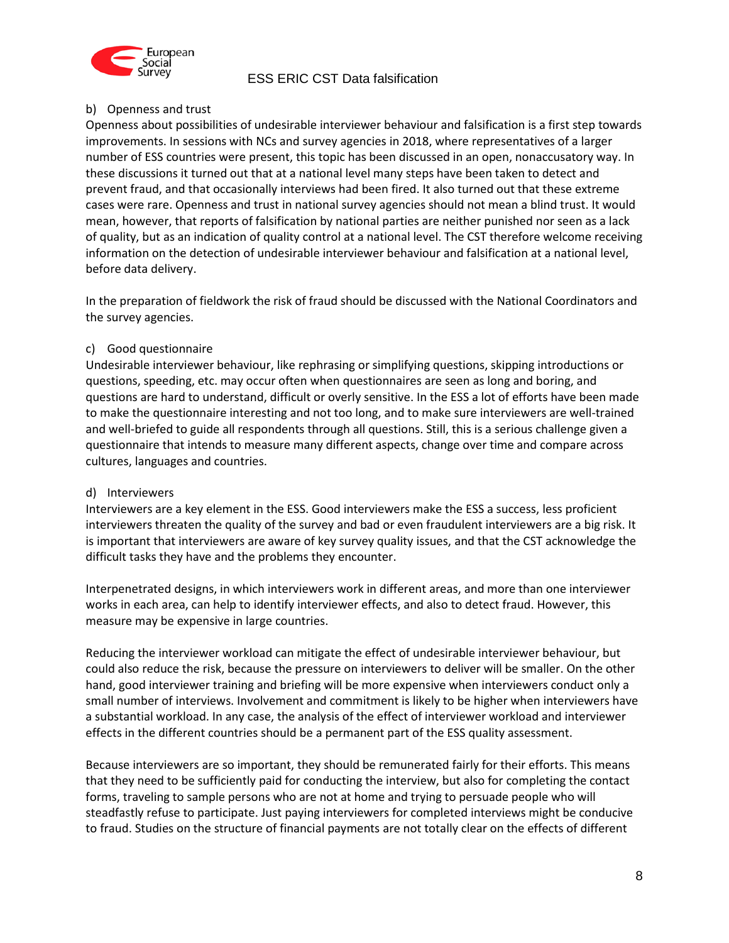

### b) Openness and trust

Openness about possibilities of undesirable interviewer behaviour and falsification is a first step towards improvements. In sessions with NCs and survey agencies in 2018, where representatives of a larger number of ESS countries were present, this topic has been discussed in an open, nonaccusatory way. In these discussions it turned out that at a national level many steps have been taken to detect and prevent fraud, and that occasionally interviews had been fired. It also turned out that these extreme cases were rare. Openness and trust in national survey agencies should not mean a blind trust. It would mean, however, that reports of falsification by national parties are neither punished nor seen as a lack of quality, but as an indication of quality control at a national level. The CST therefore welcome receiving information on the detection of undesirable interviewer behaviour and falsification at a national level, before data delivery.

In the preparation of fieldwork the risk of fraud should be discussed with the National Coordinators and the survey agencies.

#### c) Good questionnaire

Undesirable interviewer behaviour, like rephrasing or simplifying questions, skipping introductions or questions, speeding, etc. may occur often when questionnaires are seen as long and boring, and questions are hard to understand, difficult or overly sensitive. In the ESS a lot of efforts have been made to make the questionnaire interesting and not too long, and to make sure interviewers are well-trained and well-briefed to guide all respondents through all questions. Still, this is a serious challenge given a questionnaire that intends to measure many different aspects, change over time and compare across cultures, languages and countries.

#### d) Interviewers

Interviewers are a key element in the ESS. Good interviewers make the ESS a success, less proficient interviewers threaten the quality of the survey and bad or even fraudulent interviewers are a big risk. It is important that interviewers are aware of key survey quality issues, and that the CST acknowledge the difficult tasks they have and the problems they encounter.

Interpenetrated designs, in which interviewers work in different areas, and more than one interviewer works in each area, can help to identify interviewer effects, and also to detect fraud. However, this measure may be expensive in large countries.

Reducing the interviewer workload can mitigate the effect of undesirable interviewer behaviour, but could also reduce the risk, because the pressure on interviewers to deliver will be smaller. On the other hand, good interviewer training and briefing will be more expensive when interviewers conduct only a small number of interviews. Involvement and commitment is likely to be higher when interviewers have a substantial workload. In any case, the analysis of the effect of interviewer workload and interviewer effects in the different countries should be a permanent part of the ESS quality assessment.

Because interviewers are so important, they should be remunerated fairly for their efforts. This means that they need to be sufficiently paid for conducting the interview, but also for completing the contact forms, traveling to sample persons who are not at home and trying to persuade people who will steadfastly refuse to participate. Just paying interviewers for completed interviews might be conducive to fraud. Studies on the structure of financial payments are not totally clear on the effects of different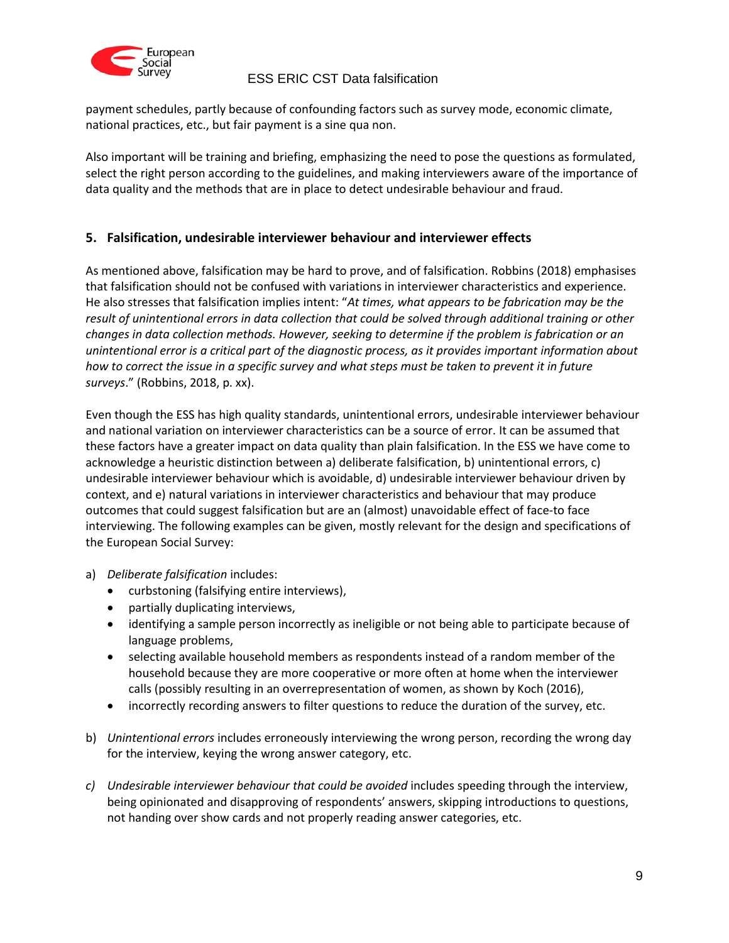

payment schedules, partly because of confounding factors such as survey mode, economic climate, national practices, etc., but fair payment is a sine qua non.

Also important will be training and briefing, emphasizing the need to pose the questions as formulated, select the right person according to the guidelines, and making interviewers aware of the importance of data quality and the methods that are in place to detect undesirable behaviour and fraud.

## <span id="page-8-0"></span>**5. Falsification, undesirable interviewer behaviour and interviewer effects**

As mentioned above, falsification may be hard to prove, and of falsification. Robbins (2018) emphasises that falsification should not be confused with variations in interviewer characteristics and experience. He also stresses that falsification implies intent: "*At times, what appears to be fabrication may be the result of unintentional errors in data collection that could be solved through additional training or other changes in data collection methods. However, seeking to determine if the problem is fabrication or an unintentional error is a critical part of the diagnostic process, as it provides important information about how to correct the issue in a specific survey and what steps must be taken to prevent it in future surveys*." (Robbins, 2018, p. xx).

Even though the ESS has high quality standards, unintentional errors, undesirable interviewer behaviour and national variation on interviewer characteristics can be a source of error. It can be assumed that these factors have a greater impact on data quality than plain falsification. In the ESS we have come to acknowledge a heuristic distinction between a) deliberate falsification, b) unintentional errors, c) undesirable interviewer behaviour which is avoidable, d) undesirable interviewer behaviour driven by context, and e) natural variations in interviewer characteristics and behaviour that may produce outcomes that could suggest falsification but are an (almost) unavoidable effect of face-to face interviewing. The following examples can be given, mostly relevant for the design and specifications of the European Social Survey:

- a) *Deliberate falsification* includes:
	- curbstoning (falsifying entire interviews),
	- partially duplicating interviews,
	- identifying a sample person incorrectly as ineligible or not being able to participate because of language problems,
	- selecting available household members as respondents instead of a random member of the household because they are more cooperative or more often at home when the interviewer calls (possibly resulting in an overrepresentation of women, as shown by Koch (2016),
	- incorrectly recording answers to filter questions to reduce the duration of the survey, etc.
- b) *Unintentional errors* includes erroneously interviewing the wrong person, recording the wrong day for the interview, keying the wrong answer category, etc.
- *c) Undesirable interviewer behaviour that could be avoided* includes speeding through the interview, being opinionated and disapproving of respondents' answers, skipping introductions to questions, not handing over show cards and not properly reading answer categories, etc.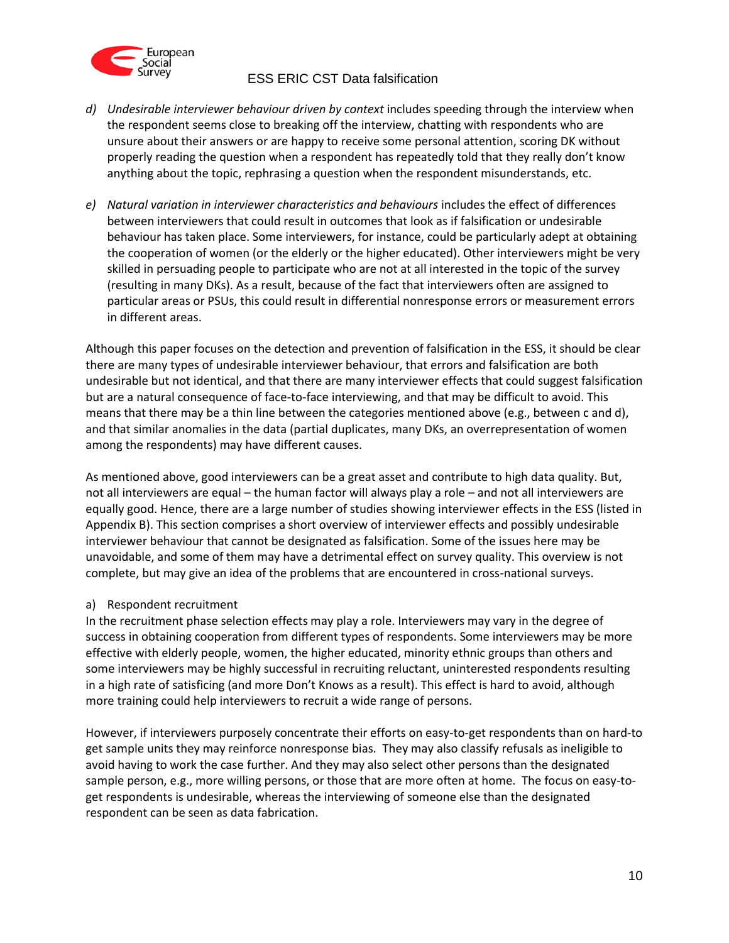

- *d)* Undesirable interviewer behaviour driven by context includes speeding through the interview when the respondent seems close to breaking off the interview, chatting with respondents who are unsure about their answers or are happy to receive some personal attention, scoring DK without properly reading the question when a respondent has repeatedly told that they really don't know anything about the topic, rephrasing a question when the respondent misunderstands, etc.
- *e) Natural variation in interviewer characteristics and behaviours* includes the effect of differences between interviewers that could result in outcomes that look as if falsification or undesirable behaviour has taken place. Some interviewers, for instance, could be particularly adept at obtaining the cooperation of women (or the elderly or the higher educated). Other interviewers might be very skilled in persuading people to participate who are not at all interested in the topic of the survey (resulting in many DKs). As a result, because of the fact that interviewers often are assigned to particular areas or PSUs, this could result in differential nonresponse errors or measurement errors in different areas.

Although this paper focuses on the detection and prevention of falsification in the ESS, it should be clear there are many types of undesirable interviewer behaviour, that errors and falsification are both undesirable but not identical, and that there are many interviewer effects that could suggest falsification but are a natural consequence of face-to-face interviewing, and that may be difficult to avoid. This means that there may be a thin line between the categories mentioned above (e.g., between c and d), and that similar anomalies in the data (partial duplicates, many DKs, an overrepresentation of women among the respondents) may have different causes.

As mentioned above, good interviewers can be a great asset and contribute to high data quality. But, not all interviewers are equal – the human factor will always play a role – and not all interviewers are equally good. Hence, there are a large number of studies showing interviewer effects in the ESS (listed in Appendix B). This section comprises a short overview of interviewer effects and possibly undesirable interviewer behaviour that cannot be designated as falsification. Some of the issues here may be unavoidable, and some of them may have a detrimental effect on survey quality. This overview is not complete, but may give an idea of the problems that are encountered in cross-national surveys.

#### a) Respondent recruitment

In the recruitment phase selection effects may play a role. Interviewers may vary in the degree of success in obtaining cooperation from different types of respondents. Some interviewers may be more effective with elderly people, women, the higher educated, minority ethnic groups than others and some interviewers may be highly successful in recruiting reluctant, uninterested respondents resulting in a high rate of satisficing (and more Don't Knows as a result). This effect is hard to avoid, although more training could help interviewers to recruit a wide range of persons.

However, if interviewers purposely concentrate their efforts on easy-to-get respondents than on hard-to get sample units they may reinforce nonresponse bias. They may also classify refusals as ineligible to avoid having to work the case further. And they may also select other persons than the designated sample person, e.g., more willing persons, or those that are more often at home. The focus on easy-toget respondents is undesirable, whereas the interviewing of someone else than the designated respondent can be seen as data fabrication.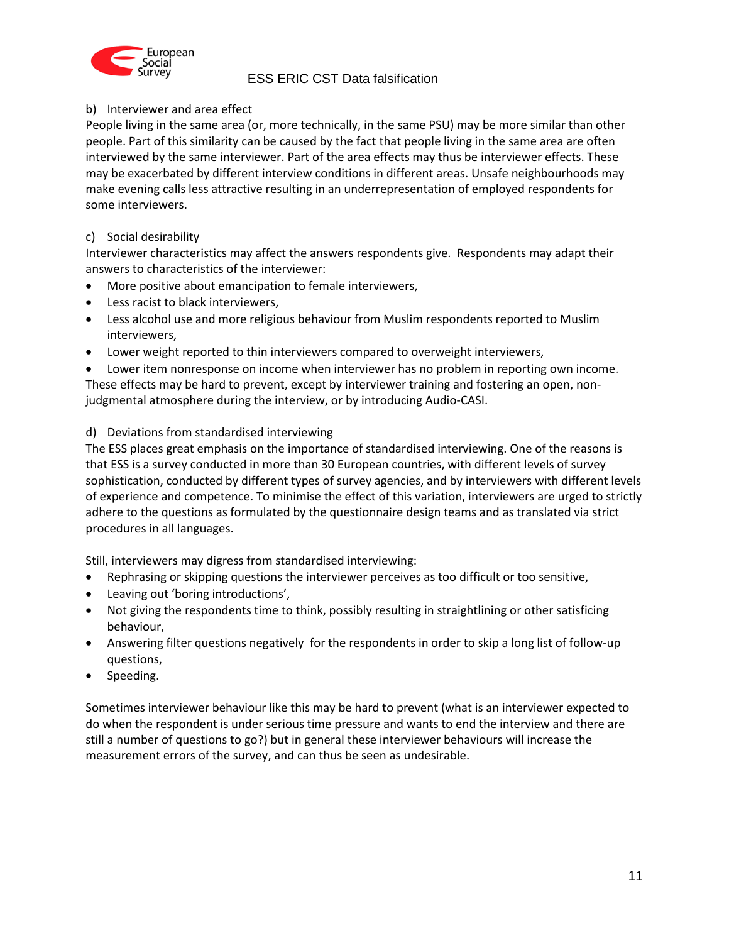

### b) Interviewer and area effect

People living in the same area (or, more technically, in the same PSU) may be more similar than other people. Part of this similarity can be caused by the fact that people living in the same area are often interviewed by the same interviewer. Part of the area effects may thus be interviewer effects. These may be exacerbated by different interview conditions in different areas. Unsafe neighbourhoods may make evening calls less attractive resulting in an underrepresentation of employed respondents for some interviewers.

### c) Social desirability

Interviewer characteristics may affect the answers respondents give. Respondents may adapt their answers to characteristics of the interviewer:

- More positive about emancipation to female interviewers,
- Less racist to black interviewers,
- Less alcohol use and more religious behaviour from Muslim respondents reported to Muslim interviewers,
- Lower weight reported to thin interviewers compared to overweight interviewers,

 Lower item nonresponse on income when interviewer has no problem in reporting own income. These effects may be hard to prevent, except by interviewer training and fostering an open, nonjudgmental atmosphere during the interview, or by introducing Audio-CASI.

### d) Deviations from standardised interviewing

The ESS places great emphasis on the importance of standardised interviewing. One of the reasons is that ESS is a survey conducted in more than 30 European countries, with different levels of survey sophistication, conducted by different types of survey agencies, and by interviewers with different levels of experience and competence. To minimise the effect of this variation, interviewers are urged to strictly adhere to the questions as formulated by the questionnaire design teams and as translated via strict procedures in all languages.

Still, interviewers may digress from standardised interviewing:

- Rephrasing or skipping questions the interviewer perceives as too difficult or too sensitive,
- Leaving out 'boring introductions',
- Not giving the respondents time to think, possibly resulting in straightlining or other satisficing behaviour,
- Answering filter questions negatively for the respondents in order to skip a long list of follow-up questions,
- Speeding.

Sometimes interviewer behaviour like this may be hard to prevent (what is an interviewer expected to do when the respondent is under serious time pressure and wants to end the interview and there are still a number of questions to go?) but in general these interviewer behaviours will increase the measurement errors of the survey, and can thus be seen as undesirable.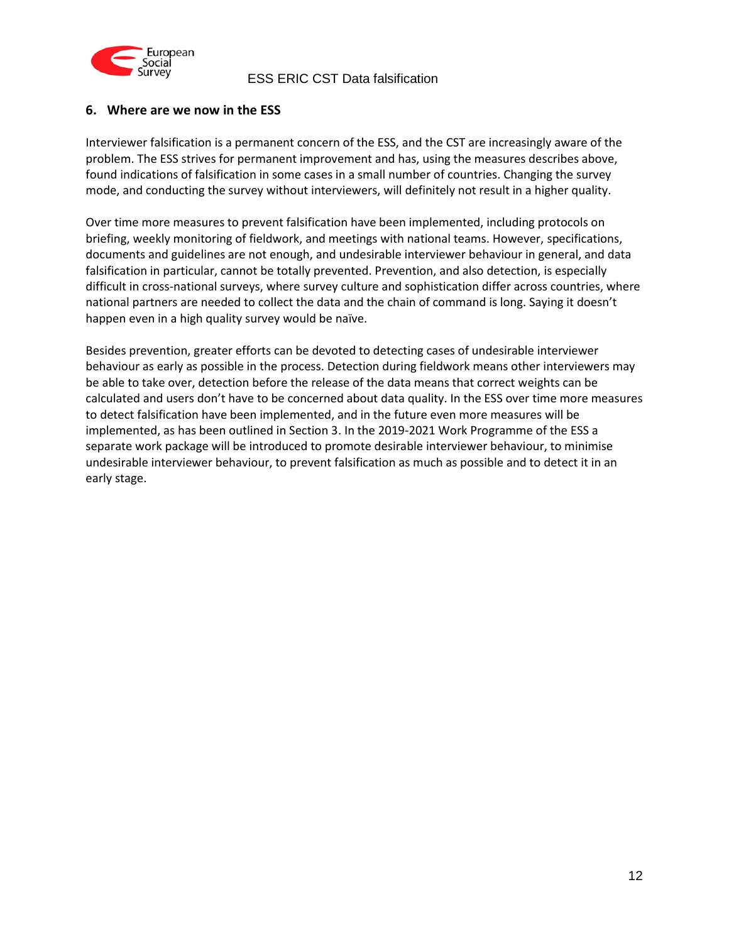

## <span id="page-11-0"></span>**6. Where are we now in the ESS**

Interviewer falsification is a permanent concern of the ESS, and the CST are increasingly aware of the problem. The ESS strives for permanent improvement and has, using the measures describes above, found indications of falsification in some cases in a small number of countries. Changing the survey mode, and conducting the survey without interviewers, will definitely not result in a higher quality.

Over time more measures to prevent falsification have been implemented, including protocols on briefing, weekly monitoring of fieldwork, and meetings with national teams. However, specifications, documents and guidelines are not enough, and undesirable interviewer behaviour in general, and data falsification in particular, cannot be totally prevented. Prevention, and also detection, is especially difficult in cross-national surveys, where survey culture and sophistication differ across countries, where national partners are needed to collect the data and the chain of command is long. Saying it doesn't happen even in a high quality survey would be naïve.

Besides prevention, greater efforts can be devoted to detecting cases of undesirable interviewer behaviour as early as possible in the process. Detection during fieldwork means other interviewers may be able to take over, detection before the release of the data means that correct weights can be calculated and users don't have to be concerned about data quality. In the ESS over time more measures to detect falsification have been implemented, and in the future even more measures will be implemented, as has been outlined in Section 3. In the 2019-2021 Work Programme of the ESS a separate work package will be introduced to promote desirable interviewer behaviour, to minimise undesirable interviewer behaviour, to prevent falsification as much as possible and to detect it in an early stage.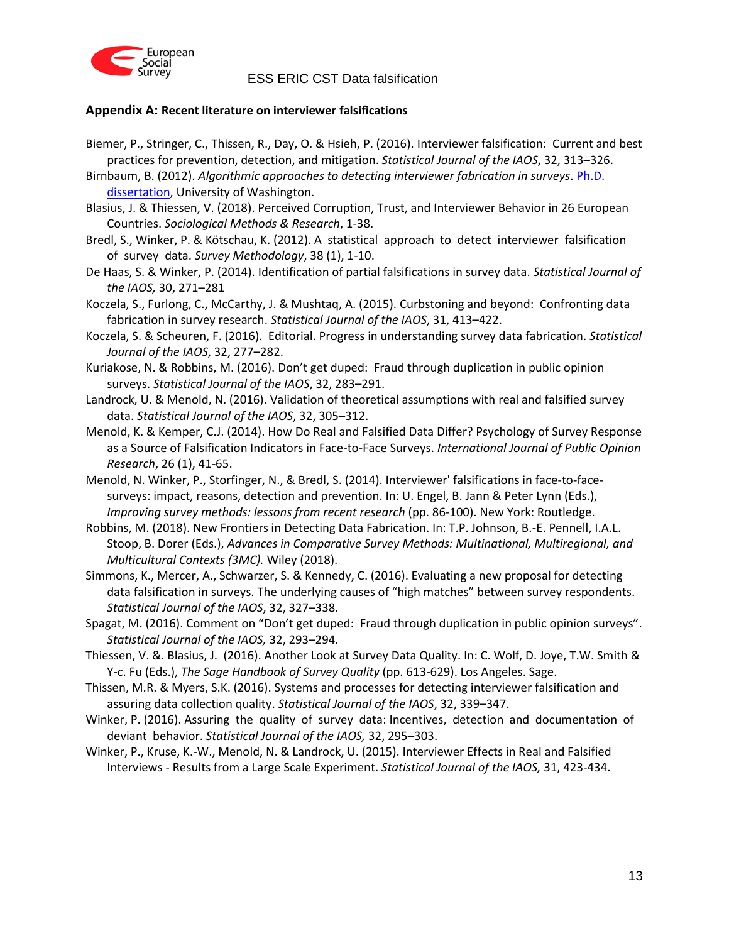

### <span id="page-12-0"></span>**Appendix A: Recent literature on interviewer falsifications**

- Biemer, P., Stringer, C., Thissen, R., Day, O. & Hsieh, P. (2016). Interviewer falsification: Current and best practices for prevention, detection, and mitigation. *Statistical Journal of the IAOS*, 32, 313–326.
- Birnbaum, B. (2012). *Algorithmic approaches to detecting interviewer fabrication in surveys*. [Ph.D.](http://citeseerx.ist.psu.edu/viewdoc/download?doi=10.1.1.269.2463&rep=rep1&type=pdf)  [dissertation,](http://citeseerx.ist.psu.edu/viewdoc/download?doi=10.1.1.269.2463&rep=rep1&type=pdf) University of Washington.
- Blasius, J. & Thiessen, V. (2018). Perceived Corruption, Trust, and Interviewer Behavior in 26 European Countries. *Sociological Methods & Research*, 1-38.
- Bredl, S., Winker, P. & Kötschau, K. (2012). A statistical approach to detect interviewer falsification of survey data. *Survey Methodology*, 38 (1), 1-10.
- De Haas, S. & Winker, P. (2014). Identification of partial falsifications in survey data. *Statistical Journal of the IAOS,* 30, 271–281
- Koczela, S., Furlong, C., McCarthy, J. & Mushtaq, A. (2015). Curbstoning and beyond: Confronting data fabrication in survey research. *Statistical Journal of the IAOS*, 31, 413–422.
- Koczela, S. & Scheuren, F. (2016). Editorial. Progress in understanding survey data fabrication. *Statistical Journal of the IAOS*, 32, 277–282.
- Kuriakose, N. & Robbins, M. (2016). Don't get duped: Fraud through duplication in public opinion surveys. *Statistical Journal of the IAOS*, 32, 283–291.
- Landrock, U. & Menold, N. (2016). Validation of theoretical assumptions with real and falsified survey data. *Statistical Journal of the IAOS*, 32, 305–312.
- Menold, K. & Kemper, C.J. (2014). How Do Real and Falsified Data Differ? Psychology of Survey Response as a Source of Falsification Indicators in Face-to-Face Surveys. *International Journal of Public Opinion Research*, 26 (1), 41-65.
- Menold, N. Winker, P., Storfinger, N., & Bredl, S. (2014). Interviewer' falsifications in face-to-facesurveys: impact, reasons, detection and prevention. In: U. Engel, B. Jann & Peter Lynn (Eds.), *Improving survey methods: lessons from recent research* (pp. 86-100). New York: Routledge.
- Robbins, M. (2018). New Frontiers in Detecting Data Fabrication. In: T.P. Johnson, B.-E. Pennell, I.A.L. Stoop, B. Dorer (Eds.), *Advances in Comparative Survey Methods: Multinational, Multiregional, and Multicultural Contexts (3MC).* Wiley (2018).
- Simmons, K., Mercer, A., Schwarzer, S. & Kennedy, C. (2016). Evaluating a new proposal for detecting data falsification in surveys. The underlying causes of "high matches" between survey respondents. *Statistical Journal of the IAOS*, 32, 327–338.
- Spagat, M. (2016). Comment on "Don't get duped: Fraud through duplication in public opinion surveys". *Statistical Journal of the IAOS,* 32, 293–294.
- Thiessen, V. &. Blasius, J. (2016). Another Look at Survey Data Quality. In: C. Wolf, D. Joye, T.W. Smith & Y-c. Fu (Eds.), *The Sage Handbook of Survey Quality* (pp. 613-629). Los Angeles. Sage.
- Thissen, M.R. & Myers, S.K. (2016). Systems and processes for detecting interviewer falsification and assuring data collection quality. *Statistical Journal of the IAOS*, 32, 339–347.
- Winker, P. (2016). Assuring the quality of survey data: Incentives, detection and documentation of deviant behavior. *Statistical Journal of the IAOS,* 32, 295–303.
- Winker, P., Kruse, K.-W., Menold, N. & Landrock, U. (2015). Interviewer Effects in Real and Falsified Interviews - Results from a Large Scale Experiment. *Statistical Journal of the IAOS,* 31, 423-434.